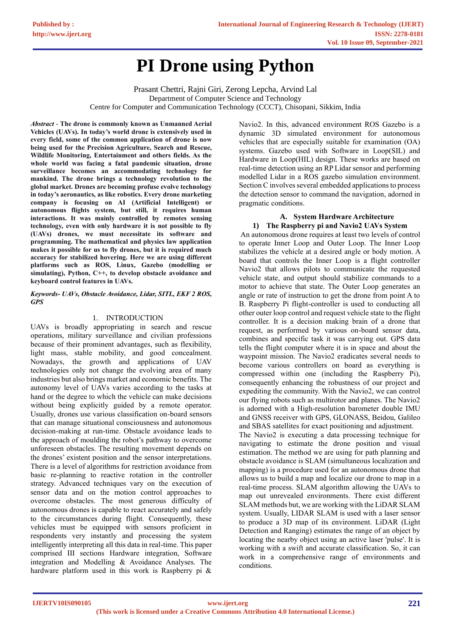# **PI Drone using Python**

Prasant Chettri, Rajni Giri, Zerong Lepcha, Arvind Lal Department of Computer Science and Technology Centre for Computer and Communication Technology (CCCT), Chisopani, Sikkim, India

*Abstract* - **The drone is commonly known as Unmanned Aerial Vehicles (UAVs). In today's world drone is extensively used in every field, some of the common application of drone is now being used for the Precision Agriculture, Search and Rescue, Wildlife Monitoring, Entertainment and others fields. As the whole world was facing a fatal pandemic situation, drone surveillance becomes an accommodating technology for mankind. The drone brings a technology revolution to the global market. Drones are becoming profuse evolve technology in today's aeronautics, as like robotics. Every drone marketing company is focusing on AI (Artificial Intelligent) or autonomous flights system, but still, it requires human interactions. It was mainly controlled by remotes sensing technology, even with only hardware it is not possible to fly (UAVs) drones, we must necessitate its software and programming. The mathematical and physics law application makes it possible for us to fly drones, but it is required much accuracy for stabilized hovering. Here we are using different platforms such as ROS, Linux, Gazebo (modelling or simulating), Python, C++, to develop obstacle avoidance and keyboard control features in UAVs.**

#### *Keywords- UAVs, Obstacle Avoidance, Lidar, SITL, EKF 2 ROS, GPS*

## 1. INTRODUCTION

UAVs is broadly appropriating in search and rescue operations, military surveillance and civilian professions because of their prominent advantages, such as flexibility, light mass, stable mobility, and good concealment. Nowadays, the growth and applications of UAV technologies only not change the evolving area of many industries but also brings market and economic benefits. The autonomy level of UAVs varies according to the tasks at hand or the degree to which the vehicle can make decisions without being explicitly guided by a remote operator. Usually, drones use various classification on-board sensors that can manage situational consciousness and autonomous decision-making at run-time. Obstacle avoidance leads to the approach of moulding the robot's pathway to overcome unforeseen obstacles. The resulting movement depends on the drones' existent position and the sensor interpretations. There is a level of algorithms for restriction avoidance from basic re-planning to reactive rotation in the controller strategy. Advanced techniques vary on the execution of sensor data and on the motion control approaches to overcome obstacles. The most generous difficulty of autonomous drones is capable to react accurately and safely to the circumstances during flight. Consequently, these vehicles must be equipped with sensors proficient in respondents very instantly and processing the system intelligently interpreting all this data in real-time. This paper comprised III sections Hardware integration, Software integration and Modelling & Avoidance Analyses. The hardware platform used in this work is Raspberry pi &

Navio2. In this, advanced environment ROS Gazebo is a dynamic 3D simulated environment for autonomous vehicles that are especially suitable for examination (OA) systems. Gazebo used with Software in Loop(SIL) and Hardware in Loop(HIL) design. These works are based on real-time detection using an RP Lidar sensor and performing modelled Lidar in a ROS gazebo simulation environment. Section C involves several embedded applications to process the detection sensor to command the navigation, adorned in pragmatic conditions.

#### **A. System Hardware Architecture 1) The Raspberry pi and Navio2 UAVs System**

An autonomous drone requires at least two levels of control to operate Inner Loop and Outer Loop. The Inner Loop stabilizes the vehicle at a desired angle or body motion. A board that controls the Inner Loop is a flight controller Navio2 that allows pilots to communicate the requested vehicle state, and output should stabilize commands to a motor to achieve that state. The Outer Loop generates an angle or rate of instruction to get the drone from point A to B. Raspberry Pi flight-controller is used to conducting all other outer loop control and request vehicle state to the flight controller. It is a decision making brain of a drone that request, as performed by various on-board sensor data, combines and specific task it was carrying out. GPS data tells the flight computer where it is in space and about the waypoint mission. The Navio2 eradicates several needs to become various controllers on board as everything is compressed within one (including the Raspberry Pi), consequently enhancing the robustness of our project and expediting the community. With the Navio2, we can control our flying robots such as multirotor and planes. The Navio2 is adorned with a High-resolution barometer double IMU and GNSS receiver with GPS, GLONASS, Beidou, Galileo and SBAS satellites for exact positioning and adjustment.

The Navio2 is executing a data processing technique for navigating to estimate the drone position and visual estimation. The method we are using for path planning and obstacle avoidance is SLAM (simultaneous localization and mapping) is a procedure used for an autonomous drone that allows us to build a map and localize our drone to map in a real-time process. SLAM algorithm allowing the UAVs to map out unrevealed environments. There exist different SLAM methods but, we are working with the LiDAR SLAM system. Usually, LIDAR SLAM is used with a laser sensor to produce a 3D map of its environment. LiDAR (Light Detection and Ranging) estimates the range of an object by locating the nearby object using an active laser 'pulse'. It is working with a swift and accurate classification. So, it can work in a comprehensive range of environments and conditions.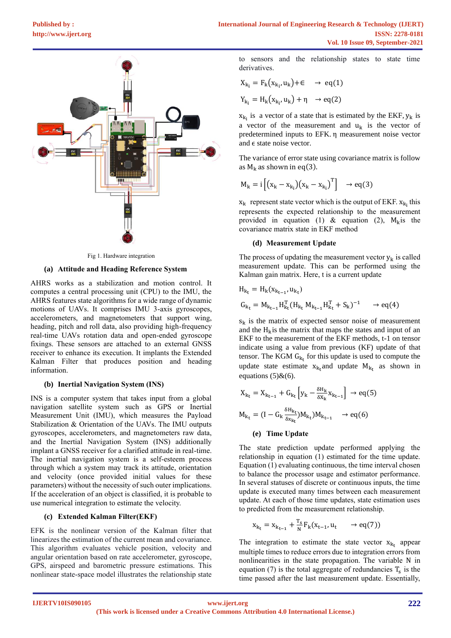

Fig 1. Hardware integration

#### **(a) Attitude and Heading Reference System**

AHRS works as a stabilization and motion control. It computes a central processing unit (CPU) to the IMU, the AHRS features state algorithms for a wide range of dynamic motions of UAVs. It comprises IMU 3-axis gyroscopes, accelerometers, and magnetometers that support wing, heading, pitch and roll data, also providing high-frequency real-time UAVs rotation data and open-ended gyroscope fixings. These sensors are attached to an external GNSS receiver to enhance its execution. It implants the Extended Kalman Filter that produces position and heading information.

#### **(b) Inertial Navigation System (INS)**

INS is a computer system that takes input from a global navigation satellite system such as GPS or Inertial Measurement Unit (IMU), which measures the Payload Stabilization & Orientation of the UAVs. The IMU outputs gyroscopes, accelerometers, and magnetometers raw data, and the Inertial Navigation System (INS) additionally implant a GNSS receiver for a clarified attitude in real-time. The inertial navigation system is a self-esteem process through which a system may track its attitude, orientation and velocity (once provided initial values for these parameters) without the necessity of such outer implications. If the acceleration of an object is classified, it is probable to use numerical integration to estimate the velocity.

## **(c) Extended Kalman Filter(EKF)**

EFK is the nonlinear version of the Kalman filter that linearizes the estimation of the current mean and covariance. This algorithm evaluates vehicle position, velocity and angular orientation based on rate accelerometer, gyroscope, GPS, airspeed and barometric pressure estimations. This nonlinear state-space model illustrates the relationship state

to sensors and the relationship states to state time derivatives.

$$
X_{k_i} = F_k(x_{k_i}, u_k) + \epsilon \rightarrow eq(1)
$$
  

$$
Y_{k_i} = H_k(x_{k_i}, u_k) + \eta \rightarrow eq(2)
$$

 $x_{k_i}$  is a vector of a state that is estimated by the EKF,  $y_k$  is a vector of the measurement and  $u_k$  is the vector of predetermined inputs to EFK. η measurement noise vector and  $\epsilon$  state noise vector.

The variance of error state using covariance matrix is follow as  $M_k$  as shown in eq(3).

$$
M_k = i\left[\left(x_k - x_{k_i}\right)\left(x_k - x_{k_i}\right)^T\right] \rightarrow eq(3)
$$

 $x_k$  represent state vector which is the output of EKF.  $x_{k_i}$  this represents the expected relationship to the measurement provided in equation (1) & equation (2),  $M_k$  is the covariance matrix state in EKF method

#### **(d) Measurement Update**

The process of updating the measurement vector  $y_k$  is called measurement update. This can be performed using the Kalman gain matrix. Here, t is a current update

$$
H_{k_t} = H_k(x_{k_{t-1}}, u_{k_t})
$$
  
\n
$$
G_{k_t} = M_{k_{t-1}} H_{k_t}^T (H_{k_t} M_{k_{t-1}} H_{k_t}^T + S_k)^{-1} \longrightarrow eq(4)
$$

 $s_k$  is the matrix of expected sensor noise of measurement and the  $H_k$  is the matrix that maps the states and input of an EKF to the measurement of the EKF methods, t-1 on tensor indicate using a value from previous (KF) update of that tensor. The KGM  $G_{k_t}$  for this update is used to compute the update state estimate  $x_{k_t}$  and update  $M_{k_t}$  as shown in equations  $(5)$ & $(6)$ .

$$
X_{k_t} = X_{k_{t-1}} + G_{k_t} \left[ y_k - \frac{\delta H_k}{\delta X_k} X_{k_{t-1}} \right] \to eq(5)
$$
  

$$
M_{k_t} = (I - G_k \frac{\delta H_{k_t}}{\delta X_{k_t}}) M_{k_t} M_{k_{t-1}} \to eq(6)
$$

#### **(e) Time Update**

The state prediction update performed applying the relationship in equation (1) estimated for the time update. Equation (1) evaluating continuous, the time interval chosen to balance the processor usage and estimator performance. In several statuses of discrete or continuous inputs, the time update is executed many times between each measurement update. At each of those time updates, state estimation uses to predicted from the measurement relationship.

$$
x_{k_t} = x_{k_{t-1}} + \frac{T_s}{N} F_k(x_{t-1}, u_t \longrightarrow eq(7))
$$

The integration to estimate the state vector  $x_{k_t}$  appear multiple times to reduce errors due to integration errors from nonlinearities in the state propagation. The variable N in equation (7) is the total aggregate of redundancies  $T_s$  is the time passed after the last measurement update. Essentially,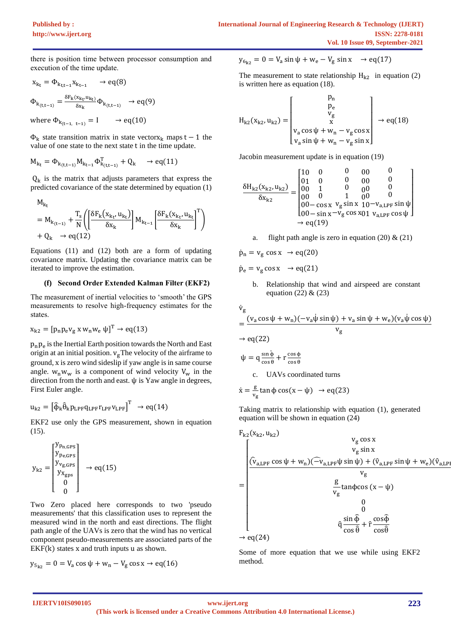there is position time between processor consumption and execution of the time update.

$$
x_{k_t} = \Phi_{k_{t,t-1}} x_{k_{t-1}} \longrightarrow eq(8)
$$
  
\n
$$
\Phi_{k_{(t,t-1)}} = \frac{\delta F_k(x_{k_t} u_{k_t})}{\delta x_k} \Phi_{k_{(t,t-1)}} \longrightarrow eq(9)
$$
  
\nwhere  $\Phi_{k_{(t-1, t-1)}} = I \longrightarrow eq(10)$ 

 $\Phi_k$  state transition matrix in state vectorx<sub>k</sub> maps t – 1 the value of one state to the next state t in the time update.

$$
M_{k_t} = \Phi_{k_{(t,t-1)}} M_{k_{t-1}} \Phi_{k_{(t,t-1)}}^T + Q_k \longrightarrow eq(11)
$$

 $Q_k$  is the matrix that adjusts parameters that express the predicted covariance of the state determined by equation (1)

$$
M_{k_t}
$$
  
=  $M_{k_{(t-1)}} + \frac{T_s}{N} \left( \left[ \frac{\delta F_k(x_{k_t}, u_{k_t})}{\delta x_k} \right] M_{k_{t-1}} \left[ \frac{\delta F_k(x_{k_t}, u_{k_t})}{\delta x_k} \right]^T \right)$   
+  $Q_k \rightarrow eq(12)$ 

Equations (11) and (12) both are a form of updating covariance matrix. Updating the covariance matrix can be iterated to improve the estimation.

#### **(f) Second Order Extended Kalman Filter (EKF2)**

The measurement of inertial velocities to 'smooth' the GPS measurements to resolve high-frequency estimates for the states.

$$
x_{k2} = [p_n p_e v_g x w_n w_e \psi]^T \rightarrow eq(13)
$$

pnp<sup>e</sup> is the Inertial Earth position towards the North and East origin at an initial position.  $v_{\rm g}$ The velocity of the airframe to ground, x is zero wind sideslip if yaw angle is in same course angle.  $w_n w_w$  is a component of wind velocity  $V_w$  in the direction from the north and east.  $\psi$  is Yaw angle in degrees, First Euler angle.

$$
u_{k2} = \left[\widehat{\varphi}_{k}\widehat{\theta}_{k}p_{LPF}q_{LPF}r_{LPF}v_{LPF}\right]^{T} \rightarrow eq(14)
$$

EKF2 use only the GPS measurement, shown in equation (15).

$$
y_{k2} = \begin{bmatrix} y_{p_{n,GPS}} \\ y_{p_{e, GPS}} \\ y_{v_{g, GPS}} \\ y_{x_{gps}} \\ 0 \\ 0 \end{bmatrix} \rightarrow eq(15)
$$

Two Zero placed here corresponds to two 'pseudo measurements' that this classification uses to represent the measured wind in the north and east directions. The flight path angle of the UAVs is zero that the wind has no vertical component pseudo-measurements are associated parts of the EKF(k) states x and truth inputs u as shown.

$$
y_{5_{k2}} = 0 = V_a \cos \psi + w_n - V_g \cos x \rightarrow eq(16)
$$

 $y_{6k_2} = 0 = V_a \sin \psi + w_e - V_g \sin x \rightarrow eq(17)$ 

The measurement to state relationship  $H_{k2}$  in equation (2) is written here as equation (18).

$$
H_{k2}(x_{k2}, u_{k2}) = \begin{bmatrix} p_n \\ p_e \\ v_g \\ x \\ v_a \cos \psi + w_n - v_g \cos x \\ v_a \sin \psi + w_n - v_g \sin x \end{bmatrix} \rightarrow eq(18)
$$

Jacobin measurement update is in equation (19)

$$
\frac{\delta H_{k2}(x_{k2}, u_{k2})}{\delta x_{k2}} = \begin{bmatrix} 10 & 0 & 0 & 0 & 0 \\ 01 & 0 & 0 & 0 & 0 \\ 00 & 1 & 0 & 0 & 0 \\ 00 & 0 & 1 & 0 & 0 \\ 00 - \cos x & v_g \sin x & 10 - v_{a,LPF} \sin \psi \\ 00 - \sin x - v_g \cos x_0 1 & v_{a,LPF} \cos \psi \end{bmatrix}
$$
  
\n
$$
\rightarrow eq(19)
$$

a. flight path angle is zero in equation (20)  $\&$  (21)

$$
\dot{p}_n = v_g \cos x \rightarrow eq(20)
$$

$$
\dot{p}_e = v_g \cos x \rightarrow eq(21)
$$

 $\dot{x} = \frac{g}{g}$ 

b. Relationship that wind and airspeed are constant equation (22) & (23)

$$
\dot{v}_g
$$
\n
$$
= \frac{(v_a \cos \psi + w_n)(-v_a \dot{\psi} \sin \psi) + v_a \sin \psi + w_e)(v_a \dot{\psi} \cos \psi)}{v_g}
$$
\n
$$
\Rightarrow eq(22)
$$
\n
$$
\psi = q \frac{\sin \phi}{\cos \theta} + r \frac{\cos \phi}{\cos \theta}
$$
\nc. UAVs coordinated turns

Taking matrix to relationship with equation (1), generated equation will be shown in equation (24)

 $\frac{g}{v_g}$ tan φ cos(x – ψ) → eq(23)

$$
F_{k2}(x_{k2}, u_{k2})
$$
\n
$$
V_{g} \cos x
$$
\n
$$
V_{g} \sin x
$$
\n
$$
= \begin{pmatrix}\n\hat{v}_{a, LPF} \cos \psi + w_{n} \hat{-(v}_{a, LPF} \psi \sin \psi) + (\hat{v}_{a, LPF} \sin \psi + w_{e}) (\hat{v}_{a, LPI}) \\
v_{g} \cos (x - \psi) \\
v_{g} \cos (x - \psi) \\
0 \\
0 \\
0 \\
0\n\end{pmatrix}
$$
\n
$$
\hat{q} \frac{\sin \hat{\phi}}{\cos \hat{\theta}} + \hat{r} \frac{\cos \hat{\phi}}{\cos \hat{\theta}}
$$

Some of more equation that we use while using EKF2 method.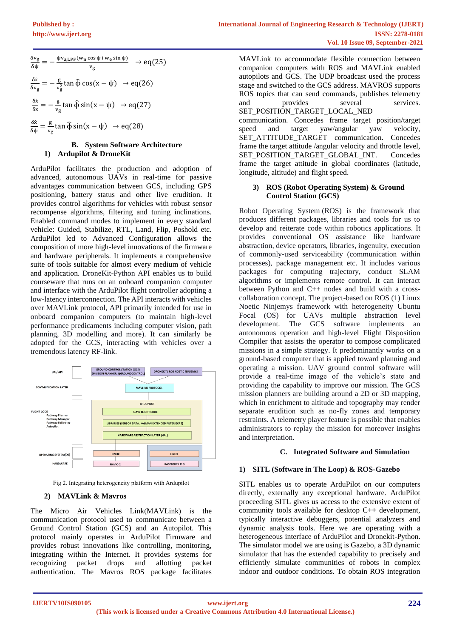$$
\frac{\delta v_{\rm g}}{\delta \psi} = -\frac{\psi v_{\rm a, LPF}(w_{\rm n} \cos \psi + w_{\rm e} \sin \psi)}{v_{\rm g}} \rightarrow eq(25)
$$
  

$$
\frac{\delta x}{\delta v_{\rm g}} = -\frac{g}{v_{\rm g}^2} \tan \hat{\phi} \cos(x - \psi) \rightarrow eq(26)
$$
  

$$
\frac{\delta x}{\delta x} = -\frac{g}{v_{\rm g}} \tan \hat{\phi} \sin(x - \psi) \rightarrow eq(27)
$$
  

$$
\frac{\delta x}{\delta \psi} = \frac{g}{v_{\rm g}} \tan \hat{\phi} \sin(x - \psi) \rightarrow eq(28)
$$

## **B. System Software Architecture 1) Ardupilot & DroneKit**

ArduPilot facilitates the production and adoption of advanced, autonomous UAVs in real-time for passive advantages communication between GCS, including GPS positioning, battery status and other live erudition. It provides control algorithms for vehicles with robust sensor recompense algorithms, filtering and tuning inclinations. Enabled command modes to implement in every standard vehicle: Guided, Stabilize, RTL, Land, Flip, Poshold etc. ArduPilot led to Advanced Configuration allows the composition of more high-level innovations of the firmware and hardware peripherals. It implements a comprehensive suite of tools suitable for almost every medium of vehicle and application. DroneKit-Python API enables us to build courseware that runs on an onboard companion computer and interface with the ArduPilot flight controller adopting a low-latency interconnection. The API interacts with vehicles over MAVLink protocol, API primarily intended for use in onboard companion computers (to maintain high-level performance predicaments including computer vision, path planning, 3D modelling and more). It can similarly be adopted for the GCS, interacting with vehicles over a tremendous latency RF-link.



Fig 2. Integrating heterogeneity platform with Ardupilot

## **2) MAVLink & Mavros**

The Micro Air Vehicles Link(MAVLink) is the communication protocol used to communicate between a Ground Control Station (GCS) and an Autopilot. This protocol mainly operates in ArduPilot Firmware and provides robust innovations like controlling, monitoring, integrating within the Internet. It provides systems for recognizing packet drops and allotting packet authentication. The Mavros ROS package facilitates

MAVLink to accommodate flexible connection between companion computers with ROS and MAVLink enabled autopilots and GCS. The UDP broadcast used the process stage and switched to the GCS address. MAVROS supports ROS topics that can send commands, publishes telemetry and provides several services.

SET\_POSITION\_TARGET\_LOCAL\_NED communication. Concedes frame target position/target speed and target yaw/angular yaw velocity, SET\_ATTITUDE\_TARGET communication. Concedes frame the target attitude /angular velocity and throttle level, SET\_POSITION\_TARGET\_GLOBAL\_INT. Concedes frame the target attitude in global coordinates (latitude, longitude, altitude) and flight speed.

### **3) ROS (Robot Operating System) & Ground Control Station (GCS)**

Robot Operating System (ROS) is the framework that produces different packages, libraries and tools for us to develop and reiterate code within robotics applications. It provides conventional OS assistance like hardware abstraction, device operators, libraries, ingenuity, execution of commonly-used serviceability (communication within processes), package management etc. It includes various packages for computing trajectory, conduct SLAM algorithms or implements remote control. It can interact between Python and C++ nodes and build with a crosscollaboration concept. The project-based on ROS (1) Linux Noetic Ninjemys framework with heterogeneity Ubuntu Focal (OS) for UAVs multiple abstraction level development. The GCS software implements an autonomous operation and high-level Flight Disposition Compiler that assists the operator to compose complicated missions in a simple strategy. It predominantly works on a ground-based computer that is applied toward planning and operating a mission. UAV ground control software will provide a real-time image of the vehicle's state and providing the capability to improve our mission. The GCS mission planners are building around a 2D or 3D mapping, which in enrichment to altitude and topography may render separate erudition such as no-fly zones and temporary restraints. A telemetry player feature is possible that enables administrators to replay the mission for moreover insights and interpretation.

## **C. Integrated Software and Simulation**

## **1) SITL (Software in The Loop) & ROS-Gazebo**

SITL enables us to operate ArduPilot on our computers directly, externally any exceptional hardware. ArduPilot proceeding SITL gives us access to the extensive extent of community tools available for desktop C++ development, typically interactive debuggers, potential analyzers and dynamic analysis tools. Here we are operating with a heterogeneous interface of ArduPilot and Dronekit-Python. The simulator model we are using is Gazebo, a 3D dynamic simulator that has the extended capability to precisely and efficiently simulate communities of robots in complex indoor and outdoor conditions. To obtain ROS integration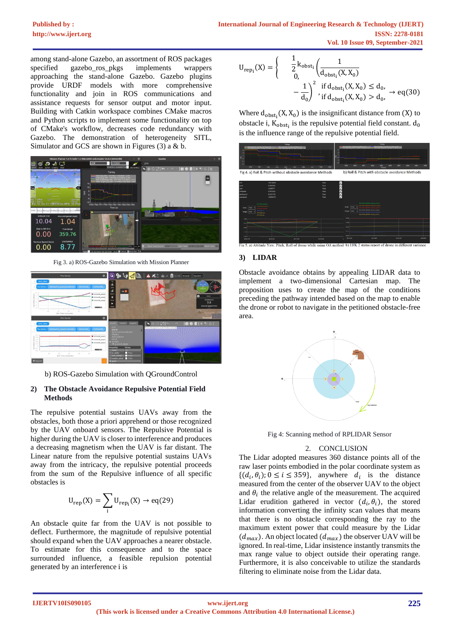# **[Published by :](www.ijert.org)**

among stand-alone Gazebo, an assortment of ROS packages specified gazebo ros pkgs implements wrappers approaching the stand-alone Gazebo. Gazebo plugins provide URDF models with more comprehensive functionality and join in ROS communications and assistance requests for sensor output and motor input. Building with Catkin workspace combines CMake macros and Python scripts to implement some functionality on top of CMake's workflow, decreases code redundancy with Gazebo. The demonstration of heterogeneity SITL, Simulator and GCS are shown in Figures (3) a & b.



Fig 3. a) ROS-Gazebo Simulation with Mission Planner



b) ROS-Gazebo Simulation with QGroundControl

## **2) The Obstacle Avoidance Repulsive Potential Field Methods**

The repulsive potential sustains UAVs away from the obstacles, both those a priori apprehend or those recognized by the UAV onboard sensors. The Repulsive Potential is higher during the UAV is closer to interference and produces a decreasing magnetism when the UAV is far distant. The Linear nature from the repulsive potential sustains UAVs away from the intricacy, the repulsive potential proceeds from the sum of the Repulsive influence of all specific obstacles is

$$
\mathrm{U_{rep}}(X) = \sum_i \mathrm{U_{rep}}_i(X) \rightarrow \mathrm{eq}(29)
$$

An obstacle quite far from the UAV is not possible to deflect. Furthermore, the magnitude of repulsive potential should expand when the UAV approaches a nearer obstacle. To estimate for this consequence and to the space surrounded influence, a feasible repulsion potential generated by an interference i is

$$
U_{rep_i}(X) = \begin{cases} & \frac{1}{2}k_{obst_i}\left(\frac{1}{d_{obst_i}(X, X_0)}\right) \\ & 0, \end{cases}
$$

$$
-\frac{1}{d_0}\Big)^2 \begin{cases} \text{if } d_{obst_i}(X, X_0) \leq d_0, \\ ^{\prime} \text{if } d_{obst_i}(X, X_0) > d_0, \end{cases} \rightarrow eq(30)
$$

Where  $d_{\text{obst}_i}(X, X_0)$  is the insignificant distance from  $(X)$  to obstacle i,  $K_{\text{obst}_i}$  is the repulsive potential field constant.  $d_0$ is the influence range of the repulsive potential field.



## **3) LIDAR**

Obstacle avoidance obtains by appealing LIDAR data to implement a two-dimensional Cartesian map. The proposition uses to create the map of the conditions preceding the pathway intended based on the map to enable the drone or robot to navigate in the petitioned obstacle-free area.



Fig 4: Scanning method of RPLIDAR Sensor

## 2. CONCLUSION

The Lidar adopted measures 360 distance points all of the raw laser points embodied in the polar coordinate system as  $\{(d_i, \theta_i); 0 \le i \le 359\}$ , anywhere  $d_i$  is the distance measured from the center of the observer UAV to the object and  $\theta_i$  the relative angle of the measurement. The acquired Lidar erudition gathered in vector  $(d_i, \theta_i)$ , the stored information converting the infinity scan values that means that there is no obstacle corresponding the ray to the maximum extent power that could measure by the Lidar  $(d_{max})$ . An object located  $(d_{max})$  the observer UAV will be ignored. In real-time, Lidar insistence instantly transmits the max range value to object outside their operating range. Furthermore, it is also conceivable to utilize the standards filtering to eliminate noise from the Lidar data.